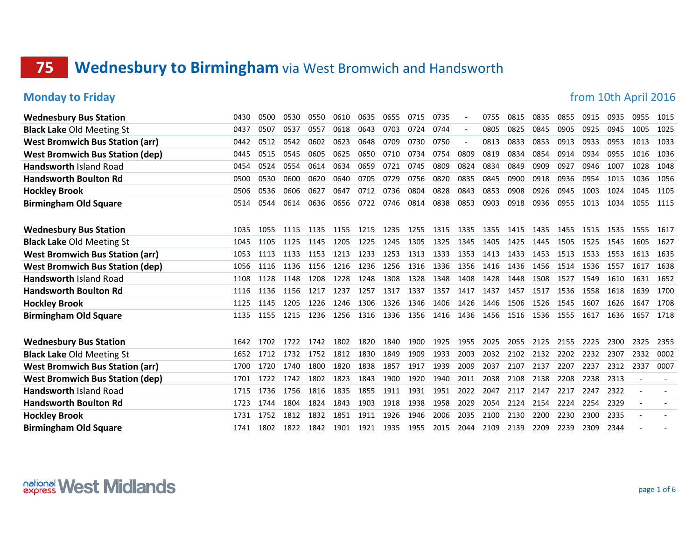## **75 Wednesbury to Birmingham** via West Bromwich and Handsworth

## **Monday to Friday from** 10th April 2016

| <b>Wednesbury Bus Station</b>          | 0430 | 0500 | 0530 | 0550 | 0610 | 0635 | 0655 | 0715 | 0735 |      | 0755 | 0815 | 0835      | 0855 | 0915 | 0935 | 0955 | 1015 |
|----------------------------------------|------|------|------|------|------|------|------|------|------|------|------|------|-----------|------|------|------|------|------|
| <b>Black Lake Old Meeting St</b>       | 0437 | 0507 | 0537 | 0557 | 0618 | 0643 | 0703 | 0724 | 0744 |      | 0805 | 0825 | 0845      | 0905 | 0925 | 0945 | 1005 | 1025 |
| <b>West Bromwich Bus Station (arr)</b> | 0442 | 0512 | 0542 | 0602 | 0623 | 0648 | 0709 | 0730 | 0750 |      | 0813 | 0833 | 0853      | 0913 | 0933 | 0953 | 1013 | 1033 |
| <b>West Bromwich Bus Station (dep)</b> | 0445 | 0515 | 0545 | 0605 | 0625 | 0650 | 0710 | 0734 | 0754 | 0809 | 0819 | 0834 | 0854      | 0914 | 0934 | 0955 | 1016 | 1036 |
| Handsworth Island Road                 | 0454 | 0524 | 0554 | 0614 | 0634 | 0659 | 0721 | 0745 | 0809 | 0824 | 0834 | 0849 | 0909      | 0927 | 0946 | 1007 | 1028 | 1048 |
| <b>Handsworth Boulton Rd</b>           | 0500 | 0530 | 0600 | 0620 | 0640 | 0705 | 0729 | 0756 | 0820 | 0835 | 0845 | 0900 | 0918      | 0936 | 0954 | 1015 | 1036 | 1056 |
| <b>Hockley Brook</b>                   | 0506 | 0536 | 0606 | 0627 | 0647 | 0712 | 0736 | 0804 | 0828 | 0843 | 0853 | 0908 | 0926      | 0945 | 1003 | 1024 | 1045 | 1105 |
| <b>Birmingham Old Square</b>           | 0514 | 0544 | 0614 | 0636 | 0656 | 0722 | 0746 | 0814 | 0838 | 0853 | 0903 | 0918 | 0936      | 0955 | 1013 | 1034 | 1055 | 1115 |
| <b>Wednesbury Bus Station</b>          | 1035 | 1055 | 1115 | 1135 | 1155 | 1215 | 1235 | 1255 | 1315 | 1335 | 1355 | 1415 | 1435      | 1455 | 1515 | 1535 | 1555 | 1617 |
| <b>Black Lake Old Meeting St</b>       | 1045 | 1105 | 1125 | 1145 | 1205 | 1225 | 1245 | 1305 | 1325 | 1345 | 1405 | 1425 | 1445      | 1505 | 1525 | 1545 | 1605 | 1627 |
| <b>West Bromwich Bus Station (arr)</b> | 1053 | 1113 | 1133 | 1153 | 1213 | 1233 | 1253 | 1313 | 1333 | 1353 | 1413 | 1433 | 1453      | 1513 | 1533 | 1553 | 1613 | 1635 |
| <b>West Bromwich Bus Station (dep)</b> | 1056 | 1116 | 1136 | 1156 | 1216 | 1236 | 1256 | 1316 | 1336 | 1356 | 1416 | 1436 | 1456      | 1514 | 1536 | 1557 | 1617 | 1638 |
| <b>Handsworth Island Road</b>          | 1108 | 1128 | 1148 | 1208 | 1228 | 1248 | 1308 | 1328 | 1348 | 1408 | 1428 | 1448 | 1508      | 1527 | 1549 | 1610 | 1631 | 1652 |
| <b>Handsworth Boulton Rd</b>           | 1116 | 1136 | 1156 | 1217 | 1237 | 1257 | 1317 | 1337 | 1357 | 1417 | 1437 | 1457 | 1517      | 1536 | 1558 | 1618 | 1639 | 1700 |
| <b>Hockley Brook</b>                   | 1125 | 1145 | 1205 | 1226 | 1246 | 1306 | 1326 | 1346 | 1406 | 1426 | 1446 | 1506 | 1526      | 1545 | 1607 | 1626 | 1647 | 1708 |
| <b>Birmingham Old Square</b>           | 1135 | 1155 | 1215 | 1236 | 1256 | 1316 | 1336 | 1356 | 1416 | 1436 | 1456 | 1516 | 1536 1555 |      | 1617 | 1636 | 1657 | 1718 |
| <b>Wednesbury Bus Station</b>          | 1642 | 1702 | 1722 | 1742 | 1802 | 1820 | 1840 | 1900 | 1925 | 1955 | 2025 | 2055 | 2125      | 2155 | 2225 | 2300 | 2325 | 2355 |
| <b>Black Lake Old Meeting St</b>       | 1652 | 1712 | 1732 | 1752 | 1812 | 1830 | 1849 | 1909 | 1933 | 2003 | 2032 | 2102 | 2132      | 2202 | 2232 | 2307 | 2332 | 0002 |
| <b>West Bromwich Bus Station (arr)</b> | 1700 | 1720 | 1740 | 1800 | 1820 | 1838 | 1857 | 1917 | 1939 | 2009 | 2037 | 2107 | 2137      | 2207 | 2237 | 2312 | 2337 | 0007 |
| <b>West Bromwich Bus Station (dep)</b> | 1701 | 1722 | 1742 | 1802 | 1823 | 1843 | 1900 | 1920 | 1940 | 2011 | 2038 | 2108 | 2138      | 2208 | 2238 | 2313 |      |      |
| <b>Handsworth Island Road</b>          | 1715 | 1736 | 1756 | 1816 | 1835 | 1855 | 1911 | 1931 | 1951 | 2022 | 2047 | 2117 | 2147      | 2217 | 2247 | 2322 |      |      |
| <b>Handsworth Boulton Rd</b>           | 1723 | 1744 | 1804 | 1824 | 1843 | 1903 | 1918 | 1938 | 1958 | 2029 | 2054 | 2124 | 2154      | 2224 | 2254 | 2329 |      |      |
| <b>Hockley Brook</b>                   | 1731 | 1752 | 1812 | 1832 | 1851 | 1911 | 1926 | 1946 | 2006 | 2035 | 2100 | 2130 | 2200      | 2230 | 2300 | 2335 |      |      |
| <b>Birmingham Old Square</b>           | 1741 | 1802 | 1822 | 1842 | 1901 | 1921 | 1935 | 1955 | 2015 | 2044 | 2109 | 2139 | 2209      | 2239 | 2309 | 2344 |      |      |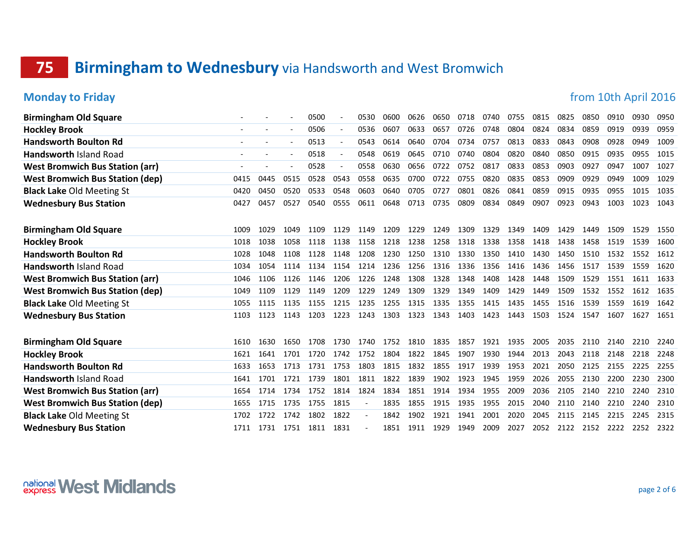## 75 Birmingham to Wednesbury via Handsworth and West Bromwich

## **Monday to Friday from** 10th April 2016

| <b>Birmingham Old Square</b>           |      |      |      | 0500 |                          | 0530 | 0600 | 0626 | 0650 | 0718 | 0740 | 0755 | 0815 | 0825 | 0850 | 0910 | 0930 | 0950 |
|----------------------------------------|------|------|------|------|--------------------------|------|------|------|------|------|------|------|------|------|------|------|------|------|
| <b>Hockley Brook</b>                   |      |      |      | 0506 | $\overline{\phantom{a}}$ | 0536 | 0607 | 0633 | 0657 | 0726 | 0748 | 0804 | 0824 | 0834 | 0859 | 0919 | 0939 | 0959 |
| <b>Handsworth Boulton Rd</b>           |      |      |      | 0513 | $\overline{\phantom{a}}$ | 0543 | 0614 | 0640 | 0704 | 0734 | 0757 | 0813 | 0833 | 0843 | 0908 | 0928 | 0949 | 1009 |
| <b>Handsworth Island Road</b>          |      |      |      | 0518 | $\sim$                   | 0548 | 0619 | 0645 | 0710 | 0740 | 0804 | 0820 | 0840 | 0850 | 0915 | 0935 | 0955 | 1015 |
| <b>West Bromwich Bus Station (arr)</b> |      |      |      | 0528 | $\overline{\phantom{a}}$ | 0558 | 0630 | 0656 | 0722 | 0752 | 0817 | 0833 | 0853 | 0903 | 0927 | 0947 | 1007 | 1027 |
| <b>West Bromwich Bus Station (dep)</b> | 0415 | 0445 | 0515 | 0528 | 0543                     | 0558 | 0635 | 0700 | 0722 | 0755 | 0820 | 0835 | 0853 | 0909 | 0929 | 0949 | 1009 | 1029 |
| <b>Black Lake Old Meeting St</b>       | 0420 | 0450 | 0520 | 0533 | 0548                     | 0603 | 0640 | 0705 | 0727 | 0801 | 0826 | 0841 | 0859 | 0915 | 0935 | 0955 | 1015 | 1035 |
| <b>Wednesbury Bus Station</b>          | 0427 | 0457 | 0527 | 0540 | 0555                     | 0611 | 0648 | 0713 | 0735 | 0809 | 0834 | 0849 | 0907 | 0923 | 0943 | 1003 | 1023 | 1043 |
| <b>Birmingham Old Square</b>           | 1009 | 1029 | 1049 | 1109 | 1129                     | 1149 | 1209 | 1229 | 1249 | 1309 | 1329 | 1349 | 1409 | 1429 | 1449 | 1509 | 1529 | 1550 |
| <b>Hockley Brook</b>                   | 1018 | 1038 | 1058 | 1118 | 1138                     | 1158 | 1218 | 1238 | 1258 | 1318 | 1338 | 1358 | 1418 | 1438 | 1458 | 1519 | 1539 | 1600 |
| <b>Handsworth Boulton Rd</b>           | 1028 | 1048 | 1108 | 1128 | 1148                     | 1208 | 1230 | 1250 | 1310 | 1330 | 1350 | 1410 | 1430 | 1450 | 1510 | 1532 | 1552 | 1612 |
| <b>Handsworth Island Road</b>          | 1034 | 1054 | 1114 | 1134 | 1154                     | 1214 | 1236 | 1256 | 1316 | 1336 | 1356 | 1416 | 1436 | 1456 | 1517 | 1539 | 1559 | 1620 |
| <b>West Bromwich Bus Station (arr)</b> | 1046 | 1106 | 1126 | 1146 | 1206                     | 1226 | 1248 | 1308 | 1328 | 1348 | 1408 | 1428 | 1448 | 1509 | 1529 | 1551 | 1611 | 1633 |
| <b>West Bromwich Bus Station (dep)</b> | 1049 | 1109 | 1129 | 1149 | 1209                     | 1229 | 1249 | 1309 | 1329 | 1349 | 1409 | 1429 | 1449 | 1509 | 1532 | 1552 | 1612 | 1635 |
| <b>Black Lake Old Meeting St</b>       | 1055 | 1115 | 1135 | 1155 | 1215                     | 1235 | 1255 | 1315 | 1335 | 1355 | 1415 | 1435 | 1455 | 1516 | 1539 | 1559 | 1619 | 1642 |
| <b>Wednesbury Bus Station</b>          | 1103 | 1123 | 1143 | 1203 | 1223                     | 1243 | 1303 | 1323 | 1343 | 1403 | 1423 | 1443 | 1503 | 1524 | 1547 | 1607 | 1627 | 1651 |
| <b>Birmingham Old Square</b>           | 1610 | 1630 | 1650 | 1708 | 1730                     | 1740 | 1752 | 1810 | 1835 | 1857 | 1921 | 1935 | 2005 | 2035 | 2110 | 2140 | 2210 | 2240 |
| <b>Hockley Brook</b>                   | 1621 | 1641 | 1701 | 1720 | 1742                     | 1752 | 1804 | 1822 | 1845 | 1907 | 1930 | 1944 | 2013 | 2043 | 2118 | 2148 | 2218 | 2248 |
| <b>Handsworth Boulton Rd</b>           | 1633 | 1653 | 1713 | 1731 | 1753                     | 1803 | 1815 | 1832 | 1855 | 1917 | 1939 | 1953 | 2021 | 2050 | 2125 | 2155 | 2225 | 2255 |
| <b>Handsworth Island Road</b>          | 1641 | 1701 | 1721 | 1739 | 1801                     | 1811 | 1822 | 1839 | 1902 | 1923 | 1945 | 1959 | 2026 | 2055 | 2130 | 2200 | 2230 | 2300 |
| <b>West Bromwich Bus Station (arr)</b> | 1654 | 1714 | 1734 | 1752 | 1814                     | 1824 | 1834 | 1851 | 1914 | 1934 | 1955 | 2009 | 2036 | 2105 | 2140 | 2210 | 2240 | 2310 |
| <b>West Bromwich Bus Station (dep)</b> | 1655 | 1715 | 1735 | 1755 | 1815                     |      | 1835 | 1855 | 1915 | 1935 | 1955 | 2015 | 2040 | 2110 | 2140 | 2210 | 2240 | 2310 |
| <b>Black Lake Old Meeting St</b>       | 1702 | 1722 | 1742 | 1802 | 1822                     |      | 1842 | 1902 | 1921 | 1941 | 2001 | 2020 | 2045 | 2115 | 2145 | 2215 | 2245 | 2315 |
| <b>Wednesbury Bus Station</b>          | 1711 | 1731 | 1751 | 1811 | 1831                     |      | 1851 | 1911 | 1929 | 1949 | 2009 | 2027 | 2052 | 2122 | 2152 | 2222 | 2252 | 2322 |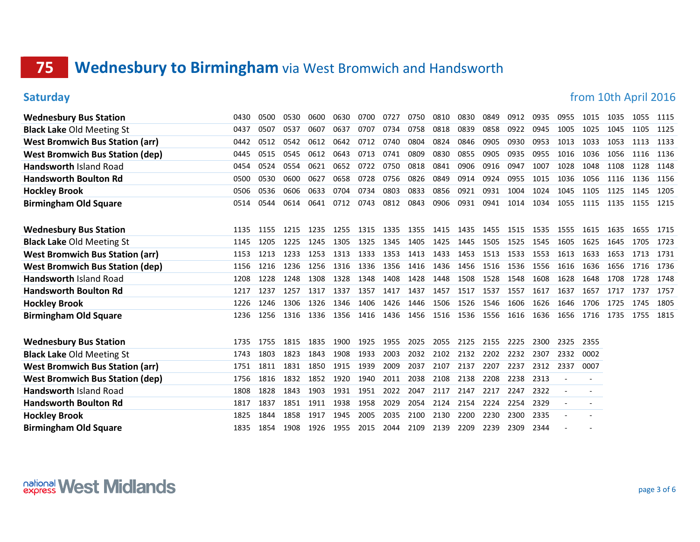# **75 Wednesbury to Birmingham** via West Bromwich and Handsworth

### Saturday from 10th April 2016

| <b>Wednesbury Bus Station</b>          | 0430 | 0500 | 0530 | 0600 | 0630 | 0700 | 0727      | 0750 | 0810 | 0830 | 0849 | 0912 | 0935 | 0955 | 1015 | 1035 | 1055 | 1115 |
|----------------------------------------|------|------|------|------|------|------|-----------|------|------|------|------|------|------|------|------|------|------|------|
| <b>Black Lake Old Meeting St</b>       | 0437 | 0507 | 0537 | 0607 | 0637 | 0707 | 0734      | 0758 | 0818 | 0839 | 0858 | 0922 | 0945 | 1005 | 1025 | 1045 | 1105 | 1125 |
| <b>West Bromwich Bus Station (arr)</b> | 0442 | 0512 | 0542 | 0612 | 0642 | 0712 | 0740      | 0804 | 0824 | 0846 | 0905 | 0930 | 0953 | 1013 | 1033 | 1053 | 1113 | 1133 |
| <b>West Bromwich Bus Station (dep)</b> | 0445 | 0515 | 0545 | 0612 | 0643 | 0713 | 0741      | 0809 | 0830 | 0855 | 0905 | 0935 | 0955 | 1016 | 1036 | 1056 | 1116 | 1136 |
| <b>Handsworth Island Road</b>          | 0454 | 0524 | 0554 | 0621 | 0652 | 0722 | 0750      | 0818 | 0841 | 0906 | 0916 | 0947 | 1007 | 1028 | 1048 | 1108 | 1128 | 1148 |
| <b>Handsworth Boulton Rd</b>           | 0500 | 0530 | 0600 | 0627 | 0658 | 0728 | 0756      | 0826 | 0849 | 0914 | 0924 | 0955 | 1015 | 1036 | 1056 | 1116 | 1136 | 1156 |
| <b>Hockley Brook</b>                   | 0506 | 0536 | 0606 | 0633 | 0704 | 0734 | 0803      | 0833 | 0856 | 0921 | 0931 | 1004 | 1024 | 1045 | 1105 | 1125 | 1145 | 1205 |
| <b>Birmingham Old Square</b>           | 0514 | 0544 | 0614 | 0641 | 0712 | 0743 | 0812      | 0843 | 0906 | 0931 | 0941 | 1014 | 1034 | 1055 | 1115 | 1135 | 1155 | 1215 |
| <b>Wednesbury Bus Station</b>          | 1135 | 1155 | 1215 | 1235 | 1255 | 1315 | 1335      | 1355 | 1415 | 1435 | 1455 | 1515 | 1535 | 1555 | 1615 | 1635 | 1655 | 1715 |
| <b>Black Lake Old Meeting St</b>       | 1145 | 1205 | 1225 | 1245 | 1305 | 1325 | 1345      | 1405 | 1425 | 1445 | 1505 | 1525 | 1545 | 1605 | 1625 | 1645 | 1705 | 1723 |
| <b>West Bromwich Bus Station (arr)</b> | 1153 | 1213 | 1233 | 1253 | 1313 | 1333 | 1353      | 1413 | 1433 | 1453 | 1513 | 1533 | 1553 | 1613 | 1633 | 1653 | 1713 | 1731 |
| <b>West Bromwich Bus Station (dep)</b> | 1156 | 1216 | 1236 | 1256 | 1316 | 1336 | 1356      | 1416 | 1436 | 1456 | 1516 | 1536 | 1556 | 1616 | 1636 | 1656 | 1716 | 1736 |
| <b>Handsworth Island Road</b>          | 1208 | 1228 | 1248 | 1308 | 1328 | 1348 | 1408      | 1428 | 1448 | 1508 | 1528 | 1548 | 1608 | 1628 | 1648 | 1708 | 1728 | 1748 |
| <b>Handsworth Boulton Rd</b>           | 1217 | 1237 | 1257 | 1317 | 1337 | 1357 | 1417      | 1437 | 1457 | 1517 | 1537 | 1557 | 1617 | 1637 | 1657 | 1717 | 1737 | 1757 |
| <b>Hockley Brook</b>                   | 1226 | 1246 | 1306 | 1326 | 1346 | 1406 | 1426      | 1446 | 1506 | 1526 | 1546 | 1606 | 1626 | 1646 | 1706 | 1725 | 1745 | 1805 |
| <b>Birmingham Old Square</b>           | 1236 | 1256 | 1316 | 1336 | 1356 | 1416 | 1436 1456 |      | 1516 | 1536 | 1556 | 1616 | 1636 | 1656 | 1716 | 1735 | 1755 | 1815 |
| <b>Wednesbury Bus Station</b>          | 1735 | 1755 | 1815 | 1835 | 1900 | 1925 | 1955      | 2025 | 2055 | 2125 | 2155 | 2225 | 2300 | 2325 | 2355 |      |      |      |
| <b>Black Lake Old Meeting St</b>       | 1743 | 1803 | 1823 | 1843 | 1908 | 1933 | 2003      | 2032 | 2102 | 2132 | 2202 | 2232 | 2307 | 2332 | 0002 |      |      |      |
| <b>West Bromwich Bus Station (arr)</b> | 1751 | 1811 | 1831 | 1850 | 1915 | 1939 | 2009      | 2037 | 2107 | 2137 | 2207 | 2237 | 2312 | 2337 | 0007 |      |      |      |
| <b>West Bromwich Bus Station (dep)</b> | 1756 | 1816 | 1832 | 1852 | 1920 | 1940 | 2011      | 2038 | 2108 | 2138 | 2208 | 2238 | 2313 |      |      |      |      |      |
| <b>Handsworth Island Road</b>          | 1808 | 1828 | 1843 | 1903 | 1931 | 1951 | 2022      | 2047 | 2117 | 2147 | 2217 | 2247 | 2322 |      |      |      |      |      |
| <b>Handsworth Boulton Rd</b>           | 1817 | 1837 | 1851 | 1911 | 1938 | 1958 | 2029      | 2054 | 2124 | 2154 | 2224 | 2254 | 2329 |      |      |      |      |      |
| <b>Hockley Brook</b>                   | 1825 | 1844 | 1858 | 1917 | 1945 | 2005 | 2035      | 2100 | 2130 | 2200 | 2230 | 2300 | 2335 |      |      |      |      |      |
| <b>Birmingham Old Square</b>           | 1835 | 1854 | 1908 | 1926 | 1955 | 2015 | 2044      | 2109 | 2139 | 2209 | 2239 | 2309 | 2344 |      |      |      |      |      |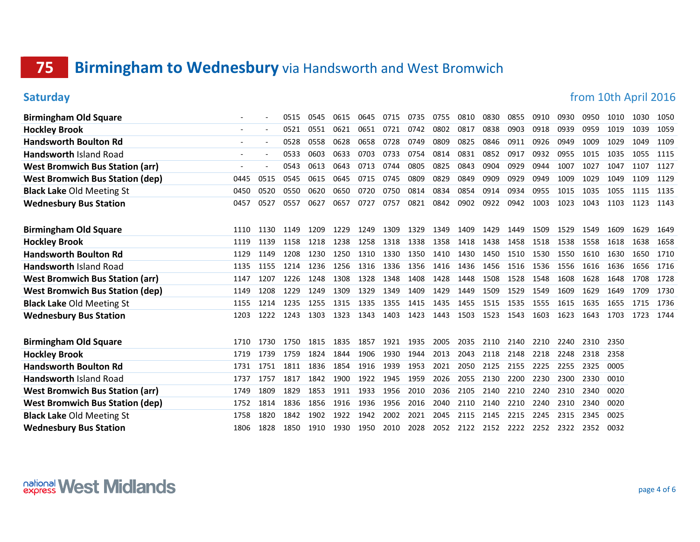## 75 Birmingham to Wednesbury via Handsworth and West Bromwich

### Saturday from 10th April 2016

| <b>Birmingham Old Square</b>           |      |      | 0515 | 0545 | 0615 | 0645 | 0715 | 0735 | 0755 | 0810 | 0830 | 0855 | 0910 | 0930 | 0950 | 1010 | 1030 | 1050 |
|----------------------------------------|------|------|------|------|------|------|------|------|------|------|------|------|------|------|------|------|------|------|
| <b>Hockley Brook</b>                   |      |      | 0521 | 0551 | 0621 | 0651 | 0721 | 0742 | 0802 | 0817 | 0838 | 0903 | 0918 | 0939 | 0959 | 1019 | 1039 | 1059 |
| <b>Handsworth Boulton Rd</b>           |      |      | 0528 | 0558 | 0628 | 0658 | 0728 | 0749 | 0809 | 0825 | 0846 | 0911 | 0926 | 0949 | 1009 | 1029 | 1049 | 1109 |
| <b>Handsworth Island Road</b>          |      |      | 0533 | 0603 | 0633 | 0703 | 0733 | 0754 | 0814 | 0831 | 0852 | 0917 | 0932 | 0955 | 1015 | 1035 | 1055 | 1115 |
| <b>West Bromwich Bus Station (arr)</b> |      |      | 0543 | 0613 | 0643 | 0713 | 0744 | 0805 | 0825 | 0843 | 0904 | 0929 | 0944 | 1007 | 1027 | 1047 | 1107 | 1127 |
| <b>West Bromwich Bus Station (dep)</b> | 0445 | 0515 | 0545 | 0615 | 0645 | 0715 | 0745 | 0809 | 0829 | 0849 | 0909 | 0929 | 0949 | 1009 | 1029 | 1049 | 1109 | 1129 |
| <b>Black Lake Old Meeting St</b>       | 0450 | 0520 | 0550 | 0620 | 0650 | 0720 | 0750 | 0814 | 0834 | 0854 | 0914 | 0934 | 0955 | 1015 | 1035 | 1055 | 1115 | 1135 |
| <b>Wednesbury Bus Station</b>          | 0457 | 0527 | 0557 | 0627 | 0657 | 0727 | 0757 | 0821 | 0842 | 0902 | 0922 | 0942 | 1003 | 1023 | 1043 | 1103 | 1123 | 1143 |
| <b>Birmingham Old Square</b>           | 1110 | 1130 | 1149 | 1209 | 1229 | 1249 | 1309 | 1329 | 1349 | 1409 | 1429 | 1449 | 1509 | 1529 | 1549 | 1609 | 1629 | 1649 |
| <b>Hockley Brook</b>                   | 1119 | 1139 | 1158 | 1218 | 1238 | 1258 | 1318 | 1338 | 1358 | 1418 | 1438 | 1458 | 1518 | 1538 | 1558 | 1618 | 1638 | 1658 |
| <b>Handsworth Boulton Rd</b>           | 1129 | 1149 | 1208 | 1230 | 1250 | 1310 | 1330 | 1350 | 1410 | 1430 | 1450 | 1510 | 1530 | 1550 | 1610 | 1630 | 1650 | 1710 |
| <b>Handsworth Island Road</b>          | 1135 | 1155 | 1214 | 1236 | 1256 | 1316 | 1336 | 1356 | 1416 | 1436 | 1456 | 1516 | 1536 | 1556 | 1616 | 1636 | 1656 | 1716 |
| <b>West Bromwich Bus Station (arr)</b> | 1147 | 1207 | 1226 | 1248 | 1308 | 1328 | 1348 | 1408 | 1428 | 1448 | 1508 | 1528 | 1548 | 1608 | 1628 | 1648 | 1708 | 1728 |
| <b>West Bromwich Bus Station (dep)</b> | 1149 | 1208 | 1229 | 1249 | 1309 | 1329 | 1349 | 1409 | 1429 | 1449 | 1509 | 1529 | 1549 | 1609 | 1629 | 1649 | 1709 | 1730 |
| <b>Black Lake Old Meeting St</b>       | 1155 | 1214 | 1235 | 1255 | 1315 | 1335 | 1355 | 1415 | 1435 | 1455 | 1515 | 1535 | 1555 | 1615 | 1635 | 1655 | 1715 | 1736 |
| <b>Wednesbury Bus Station</b>          | 1203 | 1222 | 1243 | 1303 | 1323 | 1343 | 1403 | 1423 | 1443 | 1503 | 1523 | 1543 | 1603 | 1623 | 1643 | 1703 | 1723 | 1744 |
| <b>Birmingham Old Square</b>           | 1710 | 1730 | 1750 | 1815 | 1835 | 1857 | 1921 | 1935 | 2005 | 2035 | 2110 | 2140 | 2210 | 2240 | 2310 | 2350 |      |      |
| <b>Hockley Brook</b>                   | 1719 | 1739 | 1759 | 1824 | 1844 | 1906 | 1930 | 1944 | 2013 | 2043 | 2118 | 2148 | 2218 | 2248 | 2318 | 2358 |      |      |
| <b>Handsworth Boulton Rd</b>           | 1731 | 1751 | 1811 | 1836 | 1854 | 1916 | 1939 | 1953 | 2021 | 2050 | 2125 | 2155 | 2225 | 2255 | 2325 | 0005 |      |      |
| Handsworth Island Road                 | 1737 | 1757 | 1817 | 1842 | 1900 | 1922 | 1945 | 1959 | 2026 | 2055 | 2130 | 2200 | 2230 | 2300 | 2330 | 0010 |      |      |
| <b>West Bromwich Bus Station (arr)</b> | 1749 | 1809 | 1829 | 1853 | 1911 | 1933 | 1956 | 2010 | 2036 | 2105 | 2140 | 2210 | 2240 | 2310 | 2340 | 0020 |      |      |
| <b>West Bromwich Bus Station (dep)</b> | 1752 | 1814 | 1836 | 1856 | 1916 | 1936 | 1956 | 2016 | 2040 | 2110 | 2140 | 2210 | 2240 | 2310 | 2340 | 0020 |      |      |
| <b>Black Lake Old Meeting St</b>       | 1758 | 1820 | 1842 | 1902 | 1922 | 1942 | 2002 | 2021 | 2045 | 2115 | 2145 | 2215 | 2245 | 2315 | 2345 | 0025 |      |      |
| <b>Wednesbury Bus Station</b>          | 1806 | 1828 | 1850 | 1910 | 1930 | 1950 | 2010 | 2028 | 2052 | 2122 | 2152 | 2222 | 2252 | 2322 | 2352 | 0032 |      |      |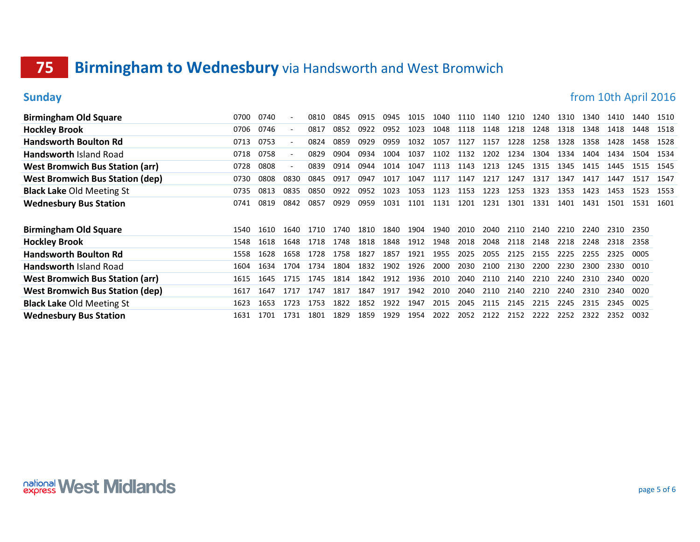## 75 Birmingham to Wednesbury via Handsworth and West Bromwich

### Sunday from 10th April 2016

| <b>Birmingham Old Square</b>           | 0700 | 0740 |      | 0810 | 0845 | 0915 | 0945 | 1015 | 1040 | 1110 | 1140 | 1210 | 1240 | 1310 | 1340 | 1410 | 1440 | 1510 |
|----------------------------------------|------|------|------|------|------|------|------|------|------|------|------|------|------|------|------|------|------|------|
| <b>Hockley Brook</b>                   | 0706 | 0746 |      | 0817 | 0852 | 0922 | 0952 | 1023 | 1048 | 1118 | 1148 | 1218 | 1248 | 1318 | 1348 | 1418 | 1448 | 1518 |
| <b>Handsworth Boulton Rd</b>           | 0713 | 0753 |      | 0824 | 0859 | 0929 | 0959 | 1032 | 1057 | 1127 | 1157 | 1228 | 1258 | 1328 | 1358 | 1428 | 1458 | 1528 |
| <b>Handsworth Island Road</b>          | 0718 | 0758 |      | 0829 | 0904 | 0934 | 1004 | 1037 | 1102 | 1132 | 1202 | 1234 | 1304 | 1334 | 1404 | 1434 | 1504 | 1534 |
| <b>West Bromwich Bus Station (arr)</b> | 0728 | 0808 |      | 0839 | 0914 | 0944 | 1014 | 1047 | 1113 | 1143 | 1213 | 1245 | 1315 | 1345 | 1415 | 1445 | 1515 | 1545 |
| <b>West Bromwich Bus Station (dep)</b> | 0730 | 0808 | 0830 | 0845 | 0917 | 0947 | 1017 | 1047 | 1117 | 1147 | 1217 | 1247 | 1317 | 1347 | 1417 | 1447 | 1517 | 1547 |
| <b>Black Lake Old Meeting St</b>       | 0735 | 0813 | 0835 | 0850 | 0922 | 0952 | 1023 | 1053 | 1123 | 1153 | 1223 | 1253 | 1323 | 1353 | 1423 | 1453 | 1523 | 1553 |
| <b>Wednesbury Bus Station</b>          | 0741 | 0819 | 0842 | 0857 | 0929 | 0959 | 1031 | 1101 | 1131 | 1201 | 1231 | 1301 | 1331 | 1401 | 1431 | 1501 | 1531 | 1601 |
|                                        |      |      |      |      |      |      |      |      |      |      |      |      |      |      |      |      |      |      |
| <b>Birmingham Old Square</b>           | 1540 | 1610 | 1640 | 1710 | 1740 | 1810 | 1840 | 1904 | 1940 | 2010 | 2040 | 2110 | 2140 | 2210 | 2240 | 2310 | 2350 |      |
| <b>Hockley Brook</b>                   | 1548 | 1618 | 1648 | 1718 | 1748 | 1818 | 1848 | 1912 | 1948 | 2018 | 2048 | 2118 | 2148 | 2218 | 2248 | 2318 | 2358 |      |
| <b>Handsworth Boulton Rd</b>           | 1558 | 1628 | 1658 | 1728 | 1758 | 1827 | 1857 | 1921 | 1955 | 2025 | 2055 | 2125 | 2155 | 2225 | 2255 | 2325 | 0005 |      |
| <b>Handsworth Island Road</b>          | 1604 | 1634 | 1704 | 1734 | 1804 | 1832 | 1902 | 1926 | 2000 | 2030 | 2100 | 2130 | 2200 | 2230 | 2300 | 2330 | 0010 |      |
| <b>West Bromwich Bus Station (arr)</b> | 1615 | 1645 | 1715 | 1745 | 1814 | 1842 | 1912 | 1936 | 2010 | 2040 | 2110 | 2140 | 2210 | 2240 | 2310 | 2340 | 0020 |      |
| <b>West Bromwich Bus Station (dep)</b> | 1617 | 1647 | 1717 | 1747 | 1817 | 1847 | 1917 | 1942 | 2010 | 2040 | 2110 | 2140 | 2210 | 2240 | 2310 | 2340 | 0020 |      |
| <b>Black Lake Old Meeting St</b>       | 1623 | 1653 | 1723 | 1753 | 1822 | 1852 | 1922 | 1947 | 2015 | 2045 | 2115 | 2145 | 2215 | 2245 | 2315 | 2345 | 0025 |      |